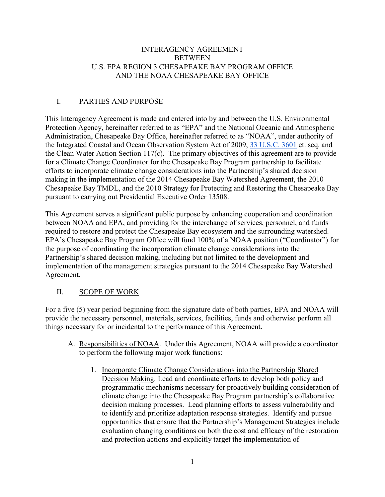### INTERAGENCY AGREEMENT **BETWEEN** U.S. EPA REGION 3 CHESAPEAKE BAY PROGRAM OFFICE AND THE NOAA CHESAPEAKE BAY OFFICE

# I. PARTIES AND PURPOSE

This Interagency Agreement is made and entered into by and between the U.S. Environmental Protection Agency, hereinafter referred to as "EPA" and the National Oceanic and Atmospheric Administration, Chesapeake Bay Office, hereinafter referred to as "NOAA", under authority of the Integrated Coastal and Ocean Observation System Act of 2009, [33 U.S.C. 3601](http://www.law.cornell.edu/uscode/text/33/3601) et. seq. and the Clean Water Action Section 117(c). The primary objectives of this agreement are to provide for a Climate Change Coordinator for the Chesapeake Bay Program partnership to facilitate efforts to incorporate climate change considerations into the Partnership's shared decision making in the implementation of the 2014 Chesapeake Bay Watershed Agreement, the 2010 Chesapeake Bay TMDL, and the 2010 Strategy for Protecting and Restoring the Chesapeake Bay pursuant to carrying out Presidential Executive Order 13508.

This Agreement serves a significant public purpose by enhancing cooperation and coordination between NOAA and EPA, and providing for the interchange of services, personnel, and funds required to restore and protect the Chesapeake Bay ecosystem and the surrounding watershed. EPA's Chesapeake Bay Program Office will fund 100% of a NOAA position ("Coordinator") for the purpose of coordinating the incorporation climate change considerations into the Partnership's shared decision making, including but not limited to the development and implementation of the management strategies pursuant to the 2014 Chesapeake Bay Watershed Agreement.

# II. SCOPE OF WORK

For a five (5) year period beginning from the signature date of both parties, EPA and NOAA will provide the necessary personnel, materials, services, facilities, funds and otherwise perform all things necessary for or incidental to the performance of this Agreement.

- A. Responsibilities of NOAA. Under this Agreement, NOAA will provide a coordinator to perform the following major work functions:
	- 1. Incorporate Climate Change Considerations into the Partnership Shared Decision Making. Lead and coordinate efforts to develop both policy and programmatic mechanisms necessary for proactively building consideration of climate change into the Chesapeake Bay Program partnership's collaborative decision making processes. Lead planning efforts to assess vulnerability and to identify and prioritize adaptation response strategies. Identify and pursue opportunities that ensure that the Partnership's Management Strategies include evaluation changing conditions on both the cost and efficacy of the restoration and protection actions and explicitly target the implementation of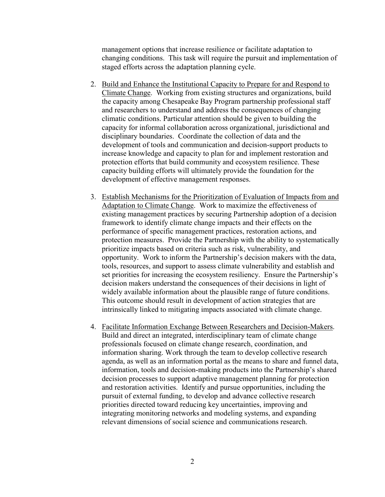management options that increase resilience or facilitate adaptation to changing conditions. This task will require the pursuit and implementation of staged efforts across the adaptation planning cycle.

- 2. Build and Enhance the Institutional Capacity to Prepare for and Respond to Climate Change. Working from existing structures and organizations, build the capacity among Chesapeake Bay Program partnership professional staff and researchers to understand and address the consequences of changing climatic conditions. Particular attention should be given to building the capacity for informal collaboration across organizational, jurisdictional and disciplinary boundaries. Coordinate the collection of data and the development of tools and communication and decision-support products to increase knowledge and capacity to plan for and implement restoration and protection efforts that build community and ecosystem resilience. These capacity building efforts will ultimately provide the foundation for the development of effective management responses.
- 3. Establish Mechanisms for the Prioritization of Evaluation of Impacts from and Adaptation to Climate Change. Work to maximize the effectiveness of existing management practices by securing Partnership adoption of a decision framework to identify climate change impacts and their effects on the performance of specific management practices, restoration actions, and protection measures. Provide the Partnership with the ability to systematically prioritize impacts based on criteria such as risk, vulnerability, and opportunity. Work to inform the Partnership's decision makers with the data, tools, resources, and support to assess climate vulnerability and establish and set priorities for increasing the ecosystem resiliency. Ensure the Partnership's decision makers understand the consequences of their decisions in light of widely available information about the plausible range of future conditions. This outcome should result in development of action strategies that are intrinsically linked to mitigating impacts associated with climate change.
- 4. Facilitate Information Exchange Between Researchers and Decision-Makers. Build and direct an integrated, interdisciplinary team of climate change professionals focused on climate change research, coordination, and information sharing. Work through the team to develop collective research agenda, as well as an information portal as the means to share and funnel data, information, tools and decision-making products into the Partnership's shared decision processes to support adaptive management planning for protection and restoration activities. Identify and pursue opportunities, including the pursuit of external funding, to develop and advance collective research priorities directed toward reducing key uncertainties, improving and integrating monitoring networks and modeling systems, and expanding relevant dimensions of social science and communications research.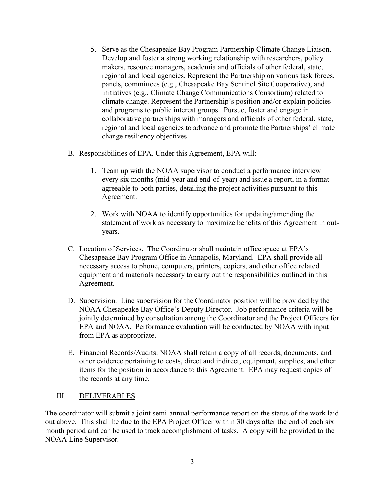- 5. Serve as the Chesapeake Bay Program Partnership Climate Change Liaison. Develop and foster a strong working relationship with researchers, policy makers, resource managers, academia and officials of other federal, state, regional and local agencies. Represent the Partnership on various task forces, panels, committees (e.g., Chesapeake Bay Sentinel Site Cooperative), and initiatives (e.g., Climate Change Communications Consortium) related to climate change. Represent the Partnership's position and/or explain policies and programs to public interest groups. Pursue, foster and engage in collaborative partnerships with managers and officials of other federal, state, regional and local agencies to advance and promote the Partnerships' climate change resiliency objectives.
- B. Responsibilities of EPA. Under this Agreement, EPA will:
	- 1. Team up with the NOAA supervisor to conduct a performance interview every six months (mid-year and end-of-year) and issue a report, in a format agreeable to both parties, detailing the project activities pursuant to this Agreement.
	- 2. Work with NOAA to identify opportunities for updating/amending the statement of work as necessary to maximize benefits of this Agreement in outyears.
- C. Location of Services. The Coordinator shall maintain office space at EPA's Chesapeake Bay Program Office in Annapolis, Maryland. EPA shall provide all necessary access to phone, computers, printers, copiers, and other office related equipment and materials necessary to carry out the responsibilities outlined in this Agreement.
- D. Supervision. Line supervision for the Coordinator position will be provided by the NOAA Chesapeake Bay Office's Deputy Director. Job performance criteria will be jointly determined by consultation among the Coordinator and the Project Officers for EPA and NOAA. Performance evaluation will be conducted by NOAA with input from EPA as appropriate.
- E. Financial Records/Audits. NOAA shall retain a copy of all records, documents, and other evidence pertaining to costs, direct and indirect, equipment, supplies, and other items for the position in accordance to this Agreement. EPA may request copies of the records at any time.

#### III. DELIVERABLES

The coordinator will submit a joint semi-annual performance report on the status of the work laid out above. This shall be due to the EPA Project Officer within 30 days after the end of each six month period and can be used to track accomplishment of tasks. A copy will be provided to the NOAA Line Supervisor.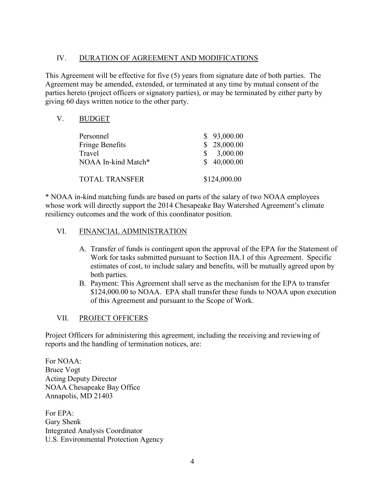# IV. DURATION OF AGREEMENT AND MODIFICATIONS

This Agreement will be effective for five (5) years from signature date of both parties. The Agreement may be amended, extended, or terminated at any time by mutual consent of the parties hereto (project officers or signatory parties), or may be terminated by either party by giving 60 days written notice to the other party.

| V | <b>BUDGET</b>          |              |
|---|------------------------|--------------|
|   | Personnel              | \$93,000.00  |
|   | <b>Fringe Benefits</b> | 28,000.00    |
|   | Travel                 | 3,000.00     |
|   | NOAA In-kind Match*    | \$40,000.00  |
|   | <b>TOTAL TRANSFER</b>  | \$124,000.00 |

\* NOAA in-kind matching funds are based on parts of the salary of two NOAA employees whose work will directly support the 2014 Chesapeake Bay Watershed Agreement's climate resiliency outcomes and the work of this coordinator position.

### VI. FINANCIAL ADMINISTRATION

- A. Transfer of funds is contingent upon the approval of the EPA for the Statement of Work for tasks submitted pursuant to Section IIA.1 of this Agreement. Specific estimates of cost, to include salary and benefits, will be mutually agreed upon by both parties.
- B. Payment: This Agreement shall serve as the mechanism for the EPA to transfer \$124,000.00 to NOAA. EPA shall transfer these funds to NOAA upon execution of this Agreement and pursuant to the Scope of Work.

# VII. PROJECT OFFICERS

Project Officers for administering this agreement, including the receiving and reviewing of reports and the handling of termination notices, are:

For NOAA: Bruce Vogt Acting Deputy Director NOAA Chesapeake Bay Office Annapolis, MD 21403

For EPA: Gary Shenk Integrated Analysis Coordinator U.S. Environmental Protection Agency